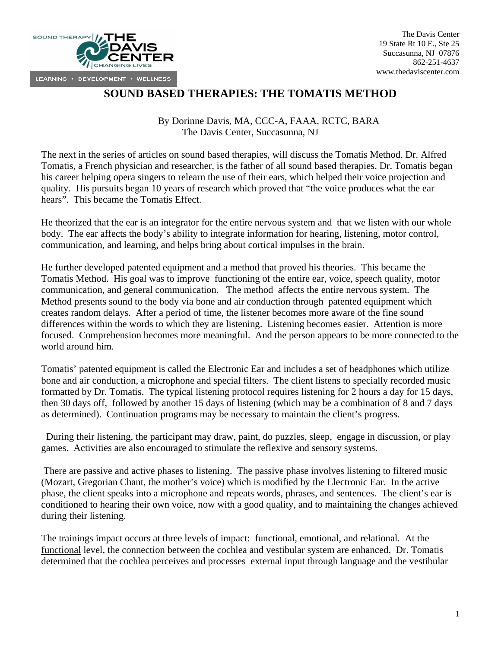

## **SOUND BASED THERAPIES: THE TOMATIS METHOD**

By Dorinne Davis, MA, CCC-A, FAAA, RCTC, BARA The Davis Center, Succasunna, NJ

The next in the series of articles on sound based therapies, will discuss the Tomatis Method. Dr. Alfred Tomatis, a French physician and researcher, is the father of all sound based therapies. Dr. Tomatis began his career helping opera singers to relearn the use of their ears, which helped their voice projection and quality. His pursuits began 10 years of research which proved that "the voice produces what the ear hears". This became the Tomatis Effect.

He theorized that the ear is an integrator for the entire nervous system and that we listen with our whole body. The ear affects the body's ability to integrate information for hearing, listening, motor control, communication, and learning, and helps bring about cortical impulses in the brain.

He further developed patented equipment and a method that proved his theories. This became the Tomatis Method. His goal was to improve functioning of the entire ear, voice, speech quality, motor communication, and general communication. The method affects the entire nervous system. The Method presents sound to the body via bone and air conduction through patented equipment which creates random delays. After a period of time, the listener becomes more aware of the fine sound differences within the words to which they are listening. Listening becomes easier. Attention is more focused. Comprehension becomes more meaningful. And the person appears to be more connected to the world around him.

Tomatis' patented equipment is called the Electronic Ear and includes a set of headphones which utilize bone and air conduction, a microphone and special filters. The client listens to specially recorded music formatted by Dr. Tomatis. The typical listening protocol requires listening for 2 hours a day for 15 days, then 30 days off, followed by another 15 days of listening (which may be a combination of 8 and 7 days as determined). Continuation programs may be necessary to maintain the client's progress.

 During their listening, the participant may draw, paint, do puzzles, sleep, engage in discussion, or play games. Activities are also encouraged to stimulate the reflexive and sensory systems.

 There are passive and active phases to listening. The passive phase involves listening to filtered music (Mozart, Gregorian Chant, the mother's voice) which is modified by the Electronic Ear. In the active phase, the client speaks into a microphone and repeats words, phrases, and sentences. The client's ear is conditioned to hearing their own voice, now with a good quality, and to maintaining the changes achieved during their listening.

The trainings impact occurs at three levels of impact: functional, emotional, and relational. At the functional level, the connection between the cochlea and vestibular system are enhanced. Dr. Tomatis determined that the cochlea perceives and processes external input through language and the vestibular